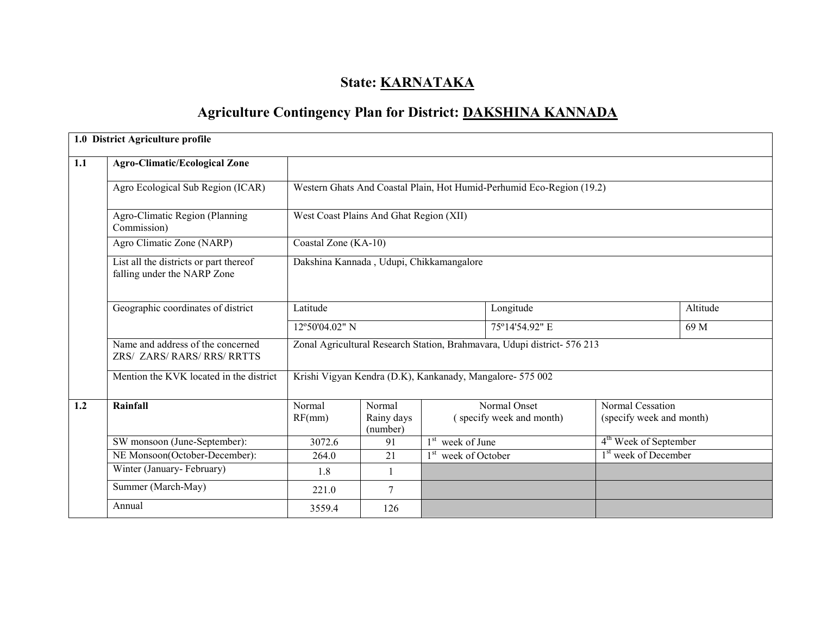# State: **KARNATAKA**

# Agriculture Contingency Plan for District: DAKSHINA KANNADA

|     | 1.0 District Agriculture profile                                      |                                         |                                          |                 |                                                                          |                                              |          |  |  |
|-----|-----------------------------------------------------------------------|-----------------------------------------|------------------------------------------|-----------------|--------------------------------------------------------------------------|----------------------------------------------|----------|--|--|
| 1.1 | <b>Agro-Climatic/Ecological Zone</b>                                  |                                         |                                          |                 |                                                                          |                                              |          |  |  |
|     | Agro Ecological Sub Region (ICAR)                                     |                                         |                                          |                 | Western Ghats And Coastal Plain, Hot Humid-Perhumid Eco-Region (19.2)    |                                              |          |  |  |
|     | Agro-Climatic Region (Planning<br>Commission)                         | West Coast Plains And Ghat Region (XII) |                                          |                 |                                                                          |                                              |          |  |  |
|     | Agro Climatic Zone (NARP)                                             | Coastal Zone (KA-10)                    |                                          |                 |                                                                          |                                              |          |  |  |
|     | List all the districts or part thereof<br>falling under the NARP Zone |                                         | Dakshina Kannada, Udupi, Chikkamangalore |                 |                                                                          |                                              |          |  |  |
|     | Geographic coordinates of district                                    | Latitude                                |                                          |                 | Longitude                                                                |                                              | Altitude |  |  |
|     |                                                                       | 12°50'04.02" N                          |                                          |                 | 75°14'54.92" E                                                           | 69 M                                         |          |  |  |
|     | Name and address of the concerned<br>ZRS/ ZARS/ RARS/ RRS/ RRTTS      |                                         |                                          |                 | Zonal Agricultural Research Station, Brahmavara, Udupi district- 576 213 |                                              |          |  |  |
|     | Mention the KVK located in the district                               |                                         |                                          |                 | Krishi Vigyan Kendra (D.K), Kankanady, Mangalore- 575 002                |                                              |          |  |  |
| 1.2 | Rainfall                                                              | Normal<br>RF(mm)                        | Normal<br>Rainy days<br>(number)         |                 | Normal Onset<br>(specify week and month)                                 | Normal Cessation<br>(specify week and month) |          |  |  |
|     | SW monsoon (June-September):                                          | 3072.6                                  | 91                                       | week of June    |                                                                          | 4 <sup>th</sup> Week of September            |          |  |  |
|     | NE Monsoon(October-December):                                         | 264.0                                   | 21                                       | week of October |                                                                          | 1 <sup>st</sup> week of December             |          |  |  |
|     | Winter (January-February)                                             | 1.8                                     | $\mathbf{1}$                             |                 |                                                                          |                                              |          |  |  |
|     | Summer (March-May)                                                    | 221.0                                   | $\tau$                                   |                 |                                                                          |                                              |          |  |  |
|     | Annual                                                                | 3559.4                                  | 126                                      |                 |                                                                          |                                              |          |  |  |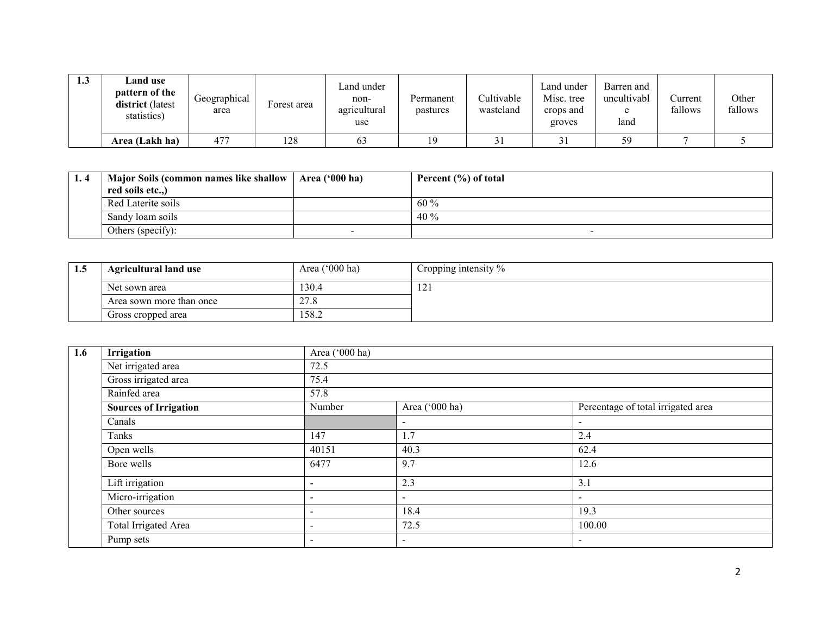| 1.3 | <b>⊿and use</b><br>pattern of the<br>district (latest<br>statistics) | Geographical<br>area | Forest area | ∟and under<br>non-<br>agricultural<br>use | Permanent<br>pastures | Cultivable<br>wasteland | and under_<br>Misc. tree<br>crops and<br>groves | Barren and<br>uncultivabl<br>land | Current<br>fallows | Other<br>fallows |
|-----|----------------------------------------------------------------------|----------------------|-------------|-------------------------------------------|-----------------------|-------------------------|-------------------------------------------------|-----------------------------------|--------------------|------------------|
|     | Area (Lakh ha)                                                       | 477                  | 128         | 63                                        | 19                    | $\sim$ 1<br>ا د         | ر ر                                             | 59                                |                    |                  |

| 1.4 | <b>Major Soils (common names like shallow</b> | Area $('000 ha)$ | Percent $(\% )$ of total |
|-----|-----------------------------------------------|------------------|--------------------------|
|     | red soils etc.,)                              |                  |                          |
|     | Red Laterite soils                            |                  | $60\%$                   |
|     | Sandy loam soils                              |                  | 40%                      |
|     | Others (specify):                             | -                | $\overline{\phantom{0}}$ |

| <b>1.5</b> | <b>Agricultural land use</b> | Area ('000 ha) | Cropping intensity % |
|------------|------------------------------|----------------|----------------------|
|            | Net sown area                | 130.4          | $\sim$<br>1/4        |
|            | Area sown more than once     | $\sim$<br>21.0 |                      |
|            | Gross cropped area           | 158.2          |                      |

| 1.6 | Irrigation                   | Area ('000 ha)           |                          |                                    |  |  |  |  |  |  |
|-----|------------------------------|--------------------------|--------------------------|------------------------------------|--|--|--|--|--|--|
|     | Net irrigated area           | 72.5                     |                          |                                    |  |  |  |  |  |  |
|     | Gross irrigated area         | 75.4                     |                          |                                    |  |  |  |  |  |  |
|     | Rainfed area                 | 57.8                     |                          |                                    |  |  |  |  |  |  |
|     | <b>Sources of Irrigation</b> | Number                   | Area ('000 ha)           | Percentage of total irrigated area |  |  |  |  |  |  |
|     | Canals                       |                          | $\overline{\phantom{a}}$ | $\sim$                             |  |  |  |  |  |  |
|     | Tanks                        | 147                      | 1.7                      | 2.4                                |  |  |  |  |  |  |
|     | Open wells                   | 40151                    | 40.3                     | 62.4                               |  |  |  |  |  |  |
|     | Bore wells                   | 6477                     | 9.7                      | 12.6                               |  |  |  |  |  |  |
|     | Lift irrigation              | $\overline{\phantom{0}}$ | 2.3                      | 3.1                                |  |  |  |  |  |  |
|     | Micro-irrigation             | $\overline{\phantom{a}}$ | $\overline{\phantom{a}}$ | $\sim$                             |  |  |  |  |  |  |
|     | Other sources                | $\overline{\phantom{0}}$ | 18.4                     | 19.3                               |  |  |  |  |  |  |
|     | Total Irrigated Area         | $\,$                     | 72.5                     | 100.00                             |  |  |  |  |  |  |
|     | Pump sets                    | $\,$                     | $\overline{\phantom{a}}$ | $\overline{\phantom{a}}$           |  |  |  |  |  |  |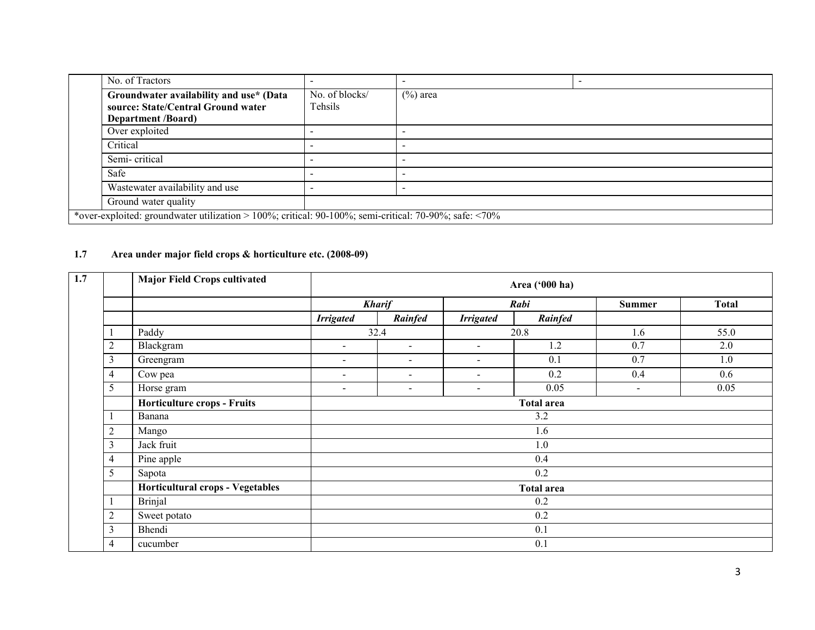|               | No. of Tractors                                                                                             |                           |             |  |  |  |
|---------------|-------------------------------------------------------------------------------------------------------------|---------------------------|-------------|--|--|--|
|               | Groundwater availability and use* (Data<br>source: State/Central Ground water<br><b>Department</b> /Board)  | No. of blocks/<br>Tehsils | $(\%)$ area |  |  |  |
|               | Over exploited                                                                                              |                           |             |  |  |  |
| Critical      |                                                                                                             |                           |             |  |  |  |
| Semi-critical |                                                                                                             |                           |             |  |  |  |
| Safe          |                                                                                                             |                           |             |  |  |  |
|               | Wastewater availability and use                                                                             |                           |             |  |  |  |
|               | Ground water quality                                                                                        |                           |             |  |  |  |
|               | *over-exploited: groundwater utilization > 100%; critical: 90-100%; semi-critical: 70-90%; safe: $\leq$ 70% |                           |             |  |  |  |

#### 1.7 Area under major field crops & horticulture etc. (2008-09)

| 1.7 | <b>Major Field Crops cultivated</b> |                                    |                          |                          |                          | Area ('000 ha)    |                          |              |  |  |
|-----|-------------------------------------|------------------------------------|--------------------------|--------------------------|--------------------------|-------------------|--------------------------|--------------|--|--|
|     |                                     |                                    |                          | <b>Kharif</b>            |                          | Rabi              | <b>Summer</b>            | <b>Total</b> |  |  |
|     |                                     |                                    | <b>Irrigated</b>         | Rainfed                  | <b>Irrigated</b>         | Rainfed           |                          |              |  |  |
|     |                                     | Paddy                              |                          | 32.4                     |                          | 20.8              | 1.6                      | 55.0         |  |  |
|     | $\overline{2}$                      | Blackgram                          | $\sim$                   | $\sim$                   | $\sim$                   | 1.2               | 0.7                      | 2.0          |  |  |
|     | 3                                   | Greengram                          | $\sim$                   | $\sim$                   | $\sim$                   | 0.1               | 0.7                      | 1.0          |  |  |
|     | $\overline{4}$                      | Cow pea                            | $\overline{\phantom{a}}$ | $\overline{\phantom{a}}$ | $\sim$                   | 0.2               | 0.4                      | 0.6          |  |  |
|     | 5                                   | Horse gram                         | $\overline{\phantom{0}}$ | $\overline{\phantom{a}}$ | $\overline{\phantom{a}}$ | 0.05              | $\overline{\phantom{a}}$ | 0.05         |  |  |
|     |                                     | <b>Horticulture crops - Fruits</b> | <b>Total area</b>        |                          |                          |                   |                          |              |  |  |
|     |                                     | Banana                             | 3.2                      |                          |                          |                   |                          |              |  |  |
|     | $\overline{2}$                      | Mango                              | 1.6                      |                          |                          |                   |                          |              |  |  |
|     | $\mathfrak{Z}$                      | Jack fruit                         |                          |                          |                          | 1.0               |                          |              |  |  |
|     | $\overline{4}$                      | Pine apple                         |                          |                          |                          | 0.4               |                          |              |  |  |
|     | 5                                   | Sapota                             |                          |                          |                          | 0.2               |                          |              |  |  |
|     |                                     | Horticultural crops - Vegetables   |                          |                          |                          | <b>Total area</b> |                          |              |  |  |
|     |                                     | <b>Brinjal</b>                     | 0.2                      |                          |                          |                   |                          |              |  |  |
|     | $\overline{2}$                      | Sweet potato                       | 0.2                      |                          |                          |                   |                          |              |  |  |
|     | 3                                   | Bhendi                             | 0.1                      |                          |                          |                   |                          |              |  |  |
|     | 4                                   | cucumber                           |                          | 0.1                      |                          |                   |                          |              |  |  |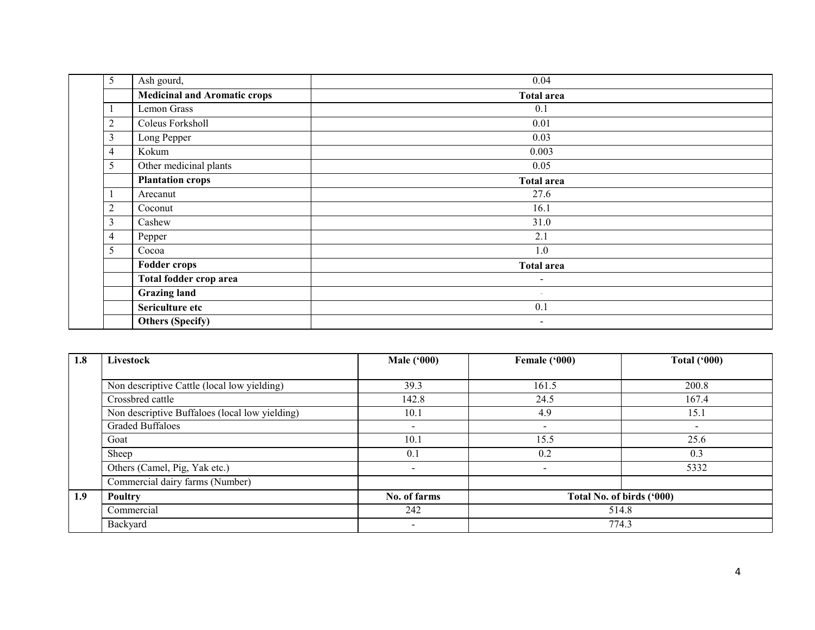| 5              | Ash gourd,                          | 0.04              |  |  |  |  |
|----------------|-------------------------------------|-------------------|--|--|--|--|
|                | <b>Medicinal and Aromatic crops</b> | <b>Total area</b> |  |  |  |  |
|                | Lemon Grass                         | 0.1               |  |  |  |  |
| $\overline{2}$ | Coleus Forksholl                    | 0.01              |  |  |  |  |
| $\overline{3}$ | Long Pepper                         | 0.03              |  |  |  |  |
| $\overline{4}$ | Kokum                               | 0.003             |  |  |  |  |
| 5              | Other medicinal plants              | 0.05              |  |  |  |  |
|                | <b>Plantation crops</b>             | <b>Total area</b> |  |  |  |  |
|                | Arecanut                            | 27.6              |  |  |  |  |
|                | Coconut                             | 16.1              |  |  |  |  |
|                | Cashew                              | 31.0              |  |  |  |  |
|                | Pepper                              | 2.1               |  |  |  |  |
| 5              | Cocoa                               | 1.0               |  |  |  |  |
|                | <b>Fodder crops</b>                 | <b>Total area</b> |  |  |  |  |
|                | Total fodder crop area              | $\blacksquare$    |  |  |  |  |
|                | <b>Grazing land</b>                 | $\sim$            |  |  |  |  |
|                | Sericulture etc                     | 0.1               |  |  |  |  |
|                | <b>Others (Specify)</b>             | $\sim$            |  |  |  |  |

| 1.8 | Livestock                                      | <b>Male ('000)</b>       | Female ('000)             | <b>Total ('000)</b> |  |  |
|-----|------------------------------------------------|--------------------------|---------------------------|---------------------|--|--|
|     |                                                |                          |                           |                     |  |  |
|     | Non descriptive Cattle (local low yielding)    | 39.3                     | 161.5                     | 200.8               |  |  |
|     | Crossbred cattle                               | 142.8                    | 24.5                      | 167.4               |  |  |
|     | Non descriptive Buffaloes (local low yielding) | 10.1                     | 4.9                       | 15.1                |  |  |
|     | <b>Graded Buffaloes</b>                        | $\overline{\phantom{a}}$ | $\overline{\phantom{a}}$  |                     |  |  |
|     | Goat                                           | 10.1                     | 15.5                      | 25.6                |  |  |
|     | Sheep                                          | 0.1                      | 0.2                       | 0.3                 |  |  |
|     | Others (Camel, Pig, Yak etc.)                  | $\overline{\phantom{a}}$ | -                         | 5332                |  |  |
|     | Commercial dairy farms (Number)                |                          |                           |                     |  |  |
| 1.9 | <b>Poultry</b>                                 | No. of farms             | Total No. of birds ('000) |                     |  |  |
|     | Commercial                                     | 242                      | 514.8                     |                     |  |  |
|     | Backyard                                       | $\overline{\phantom{0}}$ | 774.3                     |                     |  |  |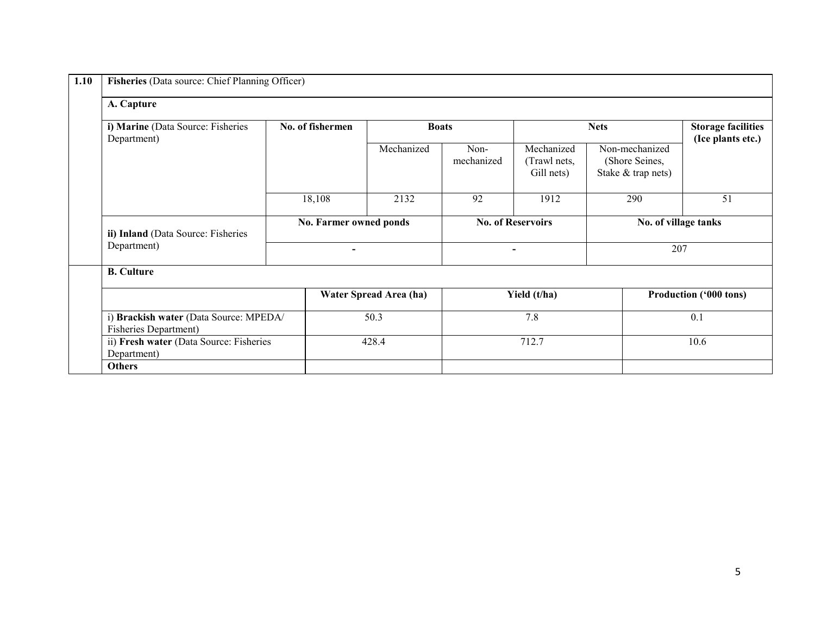| A. Capture               |                                                                                   |                        |                                          |                                                        |                                                |  |  |  |
|--------------------------|-----------------------------------------------------------------------------------|------------------------|------------------------------------------|--------------------------------------------------------|------------------------------------------------|--|--|--|
| No. of fishermen         |                                                                                   |                        |                                          | <b>Nets</b>                                            | <b>Storage facilities</b><br>(Ice plants etc.) |  |  |  |
|                          | Mechanized                                                                        | Non-<br>mechanized     | Mechanized<br>(Trawl nets,<br>Gill nets) | Non-mechanized<br>(Shore Seines,<br>Stake & trap nets) |                                                |  |  |  |
| 18,108                   | 2132                                                                              | 92                     | 1912                                     | 290                                                    | 51                                             |  |  |  |
|                          | No. Farmer owned ponds                                                            |                        |                                          |                                                        | No. of village tanks                           |  |  |  |
| $\overline{\phantom{a}}$ |                                                                                   |                        |                                          |                                                        | 207                                            |  |  |  |
|                          |                                                                                   |                        |                                          |                                                        |                                                |  |  |  |
|                          |                                                                                   |                        |                                          |                                                        | Production ('000 tons)                         |  |  |  |
|                          | 50.3                                                                              |                        | 7.8                                      |                                                        | 0.1                                            |  |  |  |
|                          | 428.4                                                                             |                        | 712.7                                    |                                                        | 10.6                                           |  |  |  |
|                          | i) Brackish water (Data Source: MPEDA/<br>ii) Fresh water (Data Source: Fisheries | Water Spread Area (ha) | <b>Boats</b>                             | <b>No. of Reservoirs</b><br>Yield (t/ha)               |                                                |  |  |  |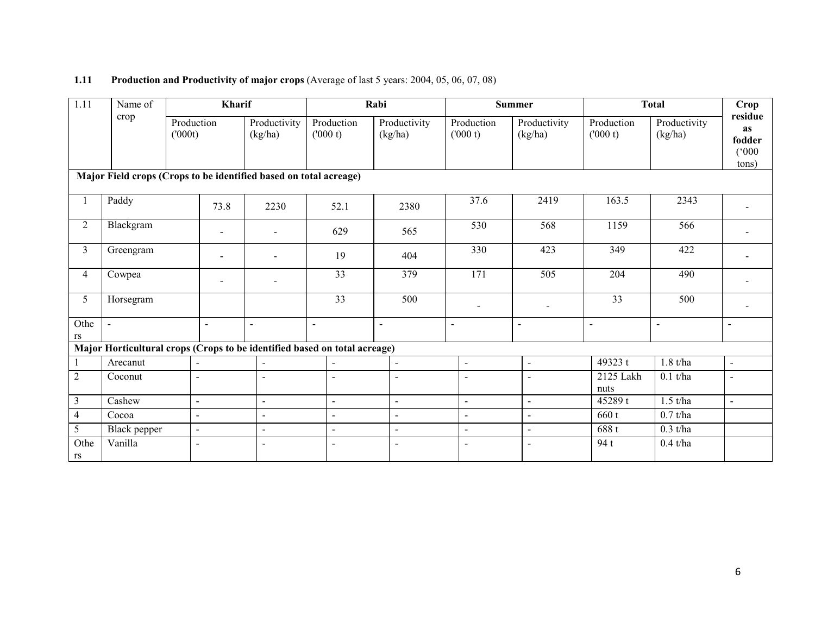#### **1.11** Production and Productivity of major crops (Average of last 5 years: 2004, 05, 06, 07, 08)

| 1.11           | Name of        |        | Kharif                   |                                                                   |                                                                           | Rabi                    |                       | <b>Summer</b>           |                       | <b>Total</b>            | Crop                                             |
|----------------|----------------|--------|--------------------------|-------------------------------------------------------------------|---------------------------------------------------------------------------|-------------------------|-----------------------|-------------------------|-----------------------|-------------------------|--------------------------------------------------|
|                | crop           | (000t) | Production               | Productivity<br>(kg/ha)                                           | Production<br>(000 t)                                                     | Productivity<br>(kg/ha) | Production<br>(000 t) | Productivity<br>(kg/ha) | Production<br>(000 t) | Productivity<br>(kg/ha) | residue<br><b>as</b><br>fodder<br>(000)<br>tons) |
|                |                |        |                          | Major Field crops (Crops to be identified based on total acreage) |                                                                           |                         |                       |                         |                       |                         |                                                  |
|                | Paddy          |        | 73.8                     | 2230                                                              | 52.1                                                                      | 2380                    | 37.6                  | 2419                    | 163.5                 | 2343                    |                                                  |
| 2              | Blackgram      |        | $\blacksquare$           |                                                                   | 629                                                                       | 565                     | 530                   | 568                     | 1159                  | 566                     |                                                  |
| 3              | Greengram      |        | $\overline{\phantom{a}}$ |                                                                   | 19                                                                        | 404                     | 330                   | 423                     | 349                   | 422                     |                                                  |
| $\overline{4}$ | Cowpea         |        |                          |                                                                   | 33                                                                        | 379                     | 171                   | 505                     | 204                   | 490                     |                                                  |
| 5 <sup>5</sup> | Horsegram      |        |                          |                                                                   | 33                                                                        | 500                     |                       |                         | 33                    | 500                     |                                                  |
| Othe<br>rs     | $\blacksquare$ |        | $\sim$                   | $\overline{a}$                                                    | $\sim$                                                                    | $\blacksquare$          | $\blacksquare$        | $\overline{a}$          | $\overline{a}$        | $\blacksquare$          |                                                  |
|                |                |        |                          |                                                                   | Major Horticultural crops (Crops to be identified based on total acreage) |                         |                       |                         |                       |                         |                                                  |
| 1              | Arecanut       |        |                          |                                                                   | $\overline{a}$                                                            |                         | $\overline{a}$        | $\overline{a}$          | 49323 t               | $1.8$ t/ha              | $\overline{a}$                                   |
| $\overline{2}$ | Coconut        |        | $\sim$                   | $\overline{a}$                                                    | $\overline{a}$                                                            | $\overline{a}$          | $\blacksquare$        |                         | 2125 Lakh<br>nuts     | $0.1$ t/ha              | $\blacksquare$                                   |
| $\overline{3}$ | Cashew         |        | $\bar{\phantom{a}}$      | $\blacksquare$                                                    | $\mathbf{u}$                                                              | $\blacksquare$          | $\overline{a}$        | $\mathbf{r}$            | 45289 t               | $1.5$ t/ha              | $\Box$                                           |
| $\overline{4}$ | Cocoa          |        | $\ddot{\phantom{a}}$     | $\blacksquare$                                                    | $\blacksquare$                                                            | $\ddot{\phantom{1}}$    | $\overline{a}$        | $\blacksquare$          | 660 t                 | $0.7$ t/ha              |                                                  |
| $\mathfrak{S}$ | Black pepper   |        | $\sim$                   | $\blacksquare$                                                    | $\blacksquare$                                                            | $\blacksquare$          | $\blacksquare$        | $\overline{a}$          | 688t                  | $0.3$ t/ha              |                                                  |
| Othe<br>rs     | Vanilla        |        | $\overline{\phantom{a}}$ | $\overline{\phantom{a}}$                                          | $\blacksquare$                                                            |                         | $\blacksquare$        |                         | 94 t                  | $0.4$ t/ha              |                                                  |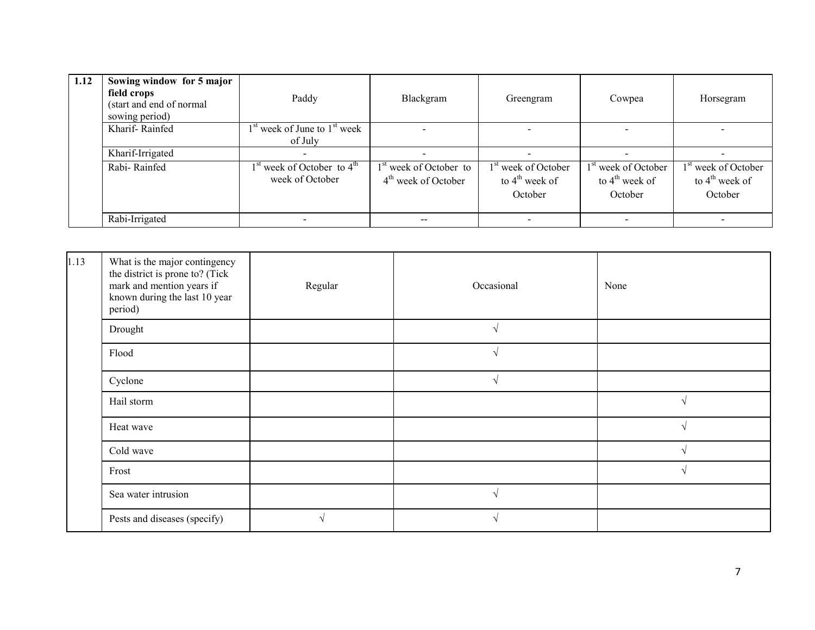| 1.12 | Sowing window for 5 major<br>field crops<br>(start and end of normal<br>sowing period) | Paddy                                             | Blackgram                                                   | Greengram                                                      | Cowpea                                                                   | Horsegram                                                                |
|------|----------------------------------------------------------------------------------------|---------------------------------------------------|-------------------------------------------------------------|----------------------------------------------------------------|--------------------------------------------------------------------------|--------------------------------------------------------------------------|
|      | Kharif-Rainfed                                                                         | $1st$ week of June to $1st$ week<br>of July       |                                                             |                                                                |                                                                          |                                                                          |
|      | Kharif-Irrigated                                                                       |                                                   |                                                             |                                                                |                                                                          |                                                                          |
|      | Rabi-Rainfed                                                                           | $1st$ week of October to $4th$<br>week of October | 1 <sup>st</sup> week of October to<br>$4th$ week of October | 1 <sup>st</sup> week of October<br>to $4th$ week of<br>October | 1 <sup>st</sup> week of October<br>to $4^{\text{th}}$ week of<br>October | 1 <sup>st</sup> week of October<br>to $4^{\text{th}}$ week of<br>October |
|      | Rabi-Irrigated                                                                         |                                                   | $- -$                                                       |                                                                |                                                                          | $\overline{\phantom{0}}$                                                 |

| 1.13 | What is the major contingency<br>the district is prone to? (Tick<br>mark and mention years if<br>known during the last 10 year<br>period) | Regular | Occasional    | None          |
|------|-------------------------------------------------------------------------------------------------------------------------------------------|---------|---------------|---------------|
|      | Drought                                                                                                                                   |         |               |               |
|      | Flood                                                                                                                                     |         | $\mathcal{L}$ |               |
|      | Cyclone                                                                                                                                   |         | $\sim$        |               |
|      | Hail storm                                                                                                                                |         |               | V             |
|      | Heat wave                                                                                                                                 |         |               | N             |
|      | Cold wave                                                                                                                                 |         |               | $\mathcal{N}$ |
|      | Frost                                                                                                                                     |         |               | $\sqrt{ }$    |
|      | Sea water intrusion                                                                                                                       |         |               |               |
|      | Pests and diseases (specify)                                                                                                              | V       |               |               |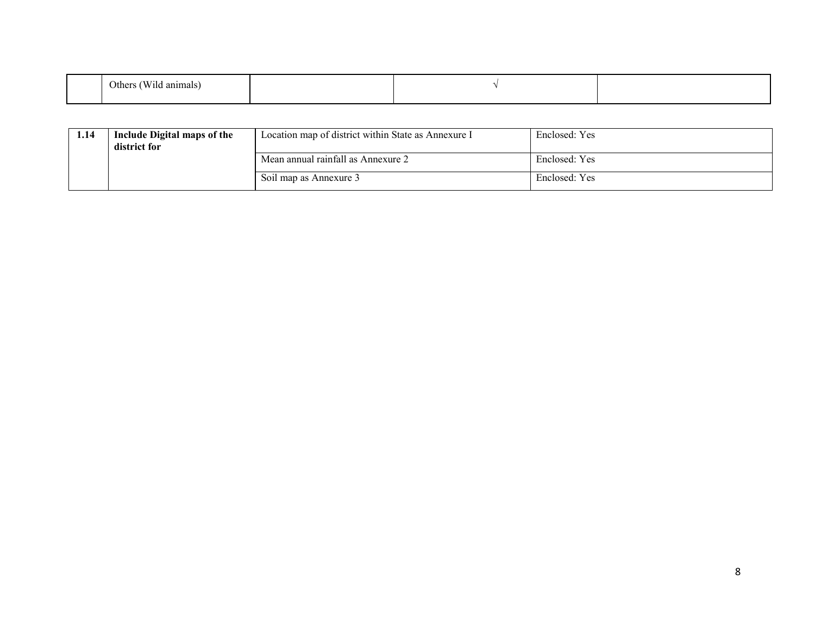| $-1$<br>$\sim$<br>⊃ther∙<br>animals |  |  |
|-------------------------------------|--|--|
|                                     |  |  |

| 1.14 | Include Digital maps of the<br>district for | Location map of district within State as Annexure I | Enclosed: Yes |
|------|---------------------------------------------|-----------------------------------------------------|---------------|
|      |                                             | Mean annual rainfall as Annexure 2                  | Enclosed: Yes |
|      |                                             | Soil map as Annexure 3                              | Enclosed: Yes |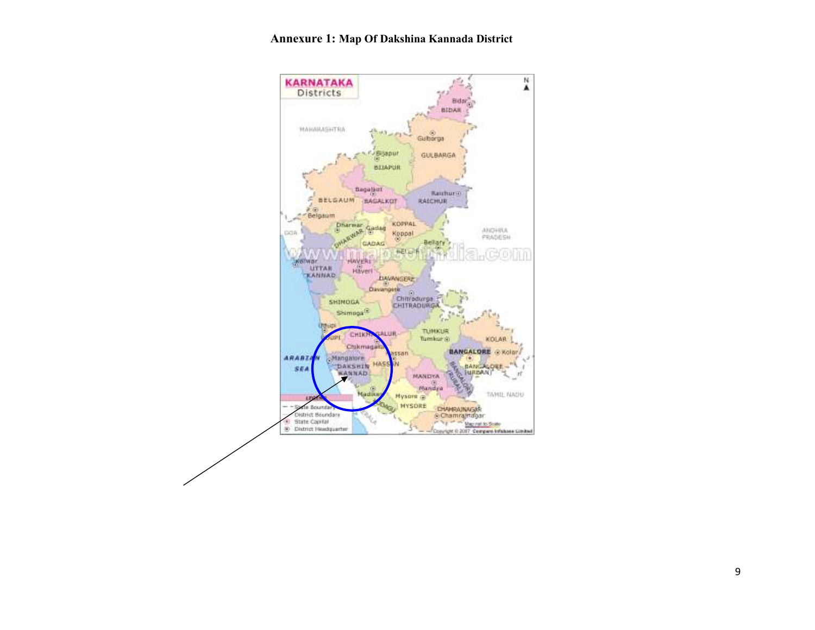#### Annexure 1: Map Of Dakshina Kannada District

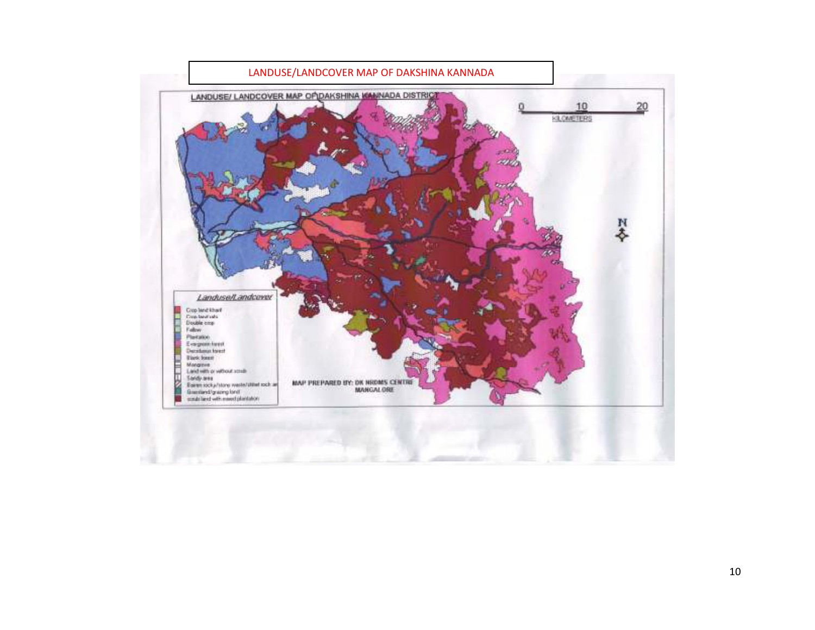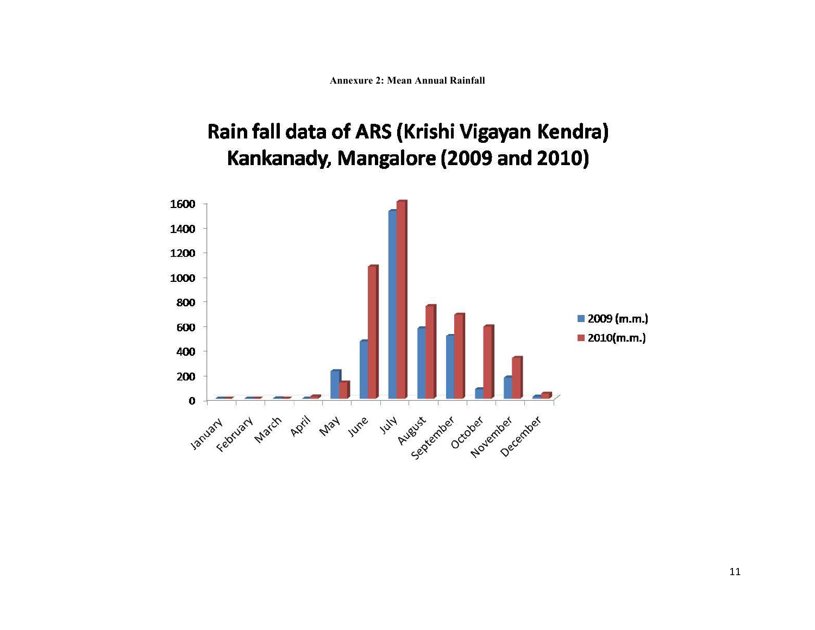Annexure 2: Mean Annual Rainfall

# Rain fall data of ARS (Krishi Vigayan Kendra) Kankanady, Mangalore (2009 and 2010)

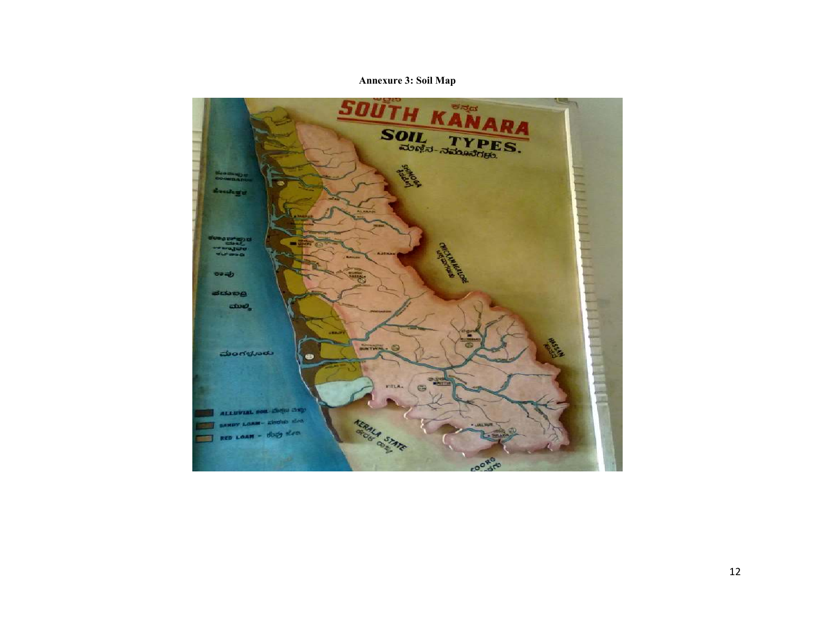#### Annexure 3: Soil Map

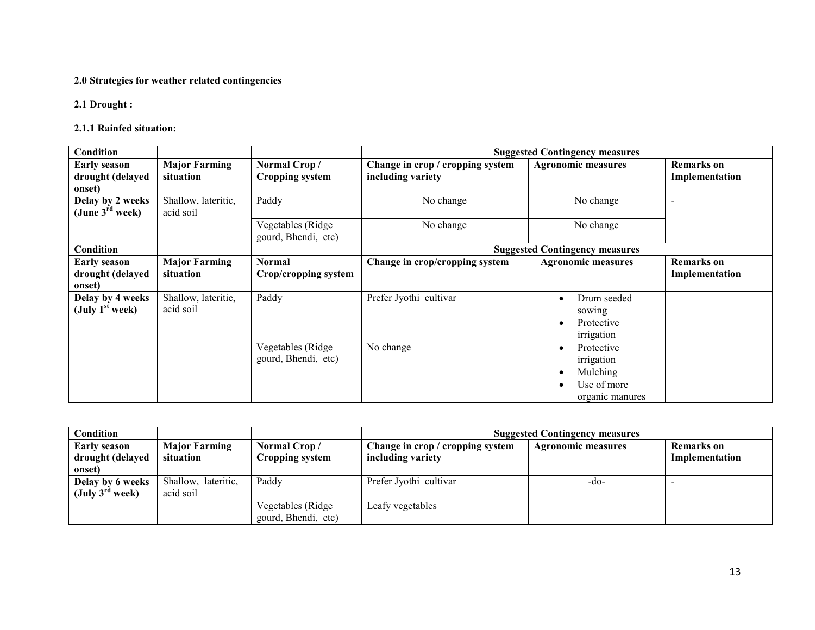#### 2.0 Strategies for weather related contingencies

2.1 Drought :

#### 2.1.1 Rainfed situation:

| Condition                                         |                                   |                                           | <b>Suggested Contingency measures</b>                 |                                                                                     |                                     |  |
|---------------------------------------------------|-----------------------------------|-------------------------------------------|-------------------------------------------------------|-------------------------------------------------------------------------------------|-------------------------------------|--|
| <b>Early season</b><br>drought (delayed<br>onset) | <b>Major Farming</b><br>situation | Normal Crop/<br><b>Cropping system</b>    | Change in crop / cropping system<br>including variety | <b>Agronomic measures</b>                                                           | <b>Remarks</b> on<br>Implementation |  |
| Delay by 2 weeks<br>(June $3^{\text{rd}}$ week)   | Shallow, lateritic,<br>acid soil  | Paddy                                     | No change                                             | No change                                                                           |                                     |  |
|                                                   |                                   | Vegetables (Ridge)<br>gourd, Bhendi, etc) | No change                                             | No change                                                                           |                                     |  |
| Condition                                         |                                   |                                           |                                                       | <b>Suggested Contingency measures</b>                                               |                                     |  |
| <b>Early season</b><br>drought (delayed<br>onset) | <b>Major Farming</b><br>situation | <b>Normal</b><br>Crop/cropping system     | Change in crop/cropping system                        | <b>Agronomic measures</b>                                                           | <b>Remarks</b> on<br>Implementation |  |
| Delay by 4 weeks<br>(July $1st$ week)             | Shallow, lateritic,<br>acid soil  | Paddy                                     | Prefer Jyothi cultivar                                | Drum seeded<br>$\bullet$<br>sowing<br>Protective<br>irrigation                      |                                     |  |
|                                                   |                                   | Vegetables (Ridge)<br>gourd, Bhendi, etc) | No change                                             | Protective<br>$\bullet$<br>irrigation<br>Mulching<br>Use of more<br>organic manures |                                     |  |

| <b>Condition</b>                                  |                                   |                                          | <b>Suggested Contingency measures</b>                 |                    |                                     |  |
|---------------------------------------------------|-----------------------------------|------------------------------------------|-------------------------------------------------------|--------------------|-------------------------------------|--|
| <b>Early season</b><br>drought (delayed           | <b>Major Farming</b><br>situation | Normal Crop/<br>Cropping system          | Change in crop / cropping system<br>including variety | Agronomic measures | <b>Remarks</b> on<br>Implementation |  |
| onset)                                            |                                   |                                          |                                                       |                    |                                     |  |
| Delay by 6 weeks<br>$(\mathrm{July}~3^{ra}$ week) | Shallow, lateritic,<br>acid soil  | Paddy                                    | Prefer Jyothi cultivar                                | -do-               |                                     |  |
|                                                   |                                   | Vegetables (Ridge<br>gourd, Bhendi, etc) | Leafy vegetables                                      |                    |                                     |  |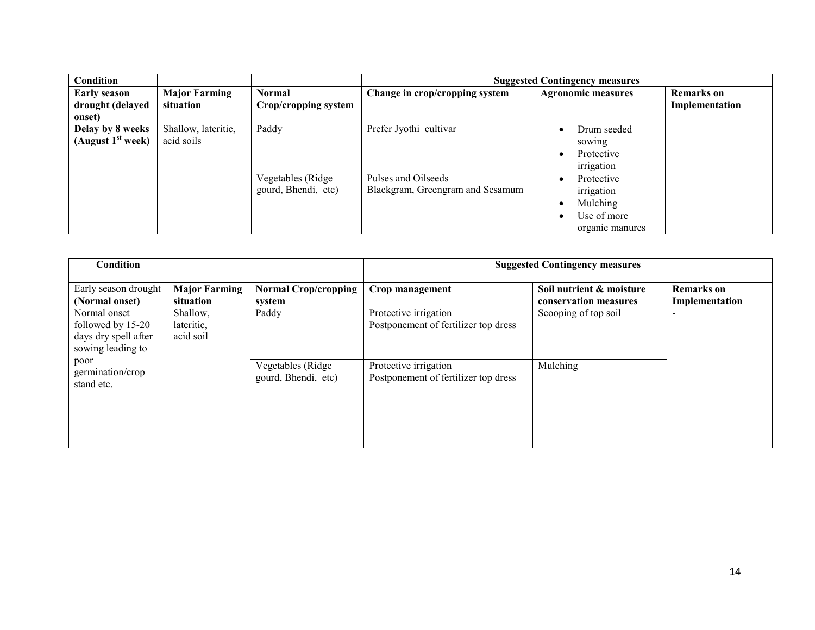| Condition                                         |                                   |                                          |                                                         | <b>Suggested Contingency measures</b>                                                    |                   |  |
|---------------------------------------------------|-----------------------------------|------------------------------------------|---------------------------------------------------------|------------------------------------------------------------------------------------------|-------------------|--|
| <b>Early season</b>                               | <b>Major Farming</b>              | <b>Normal</b>                            | Change in crop/cropping system                          | <b>Agronomic measures</b>                                                                | <b>Remarks</b> on |  |
| drought (delayed                                  | situation                         | Crop/cropping system                     |                                                         |                                                                                          | Implementation    |  |
| onset)                                            |                                   |                                          |                                                         |                                                                                          |                   |  |
| Delay by 8 weeks<br>(August 1 <sup>st</sup> week) | Shallow, lateritic,<br>acid soils | Paddy                                    | Prefer Jyothi cultivar                                  | Drum seeded<br>٠<br>sowing<br>Protective<br>٠<br>irrigation                              |                   |  |
|                                                   |                                   | Vegetables (Ridge<br>gourd, Bhendi, etc) | Pulses and Oilseeds<br>Blackgram, Greengram and Sesamum | Protective<br>$\bullet$<br>irrigation<br>Mulching<br>٠<br>Use of more<br>organic manures |                   |  |

| Condition            |                      |                             | <b>Suggested Contingency measures</b> |                          |                          |
|----------------------|----------------------|-----------------------------|---------------------------------------|--------------------------|--------------------------|
| Early season drought | <b>Major Farming</b> | <b>Normal Crop/cropping</b> | Crop management                       | Soil nutrient & moisture | <b>Remarks</b> on        |
| (Normal onset)       | situation            | system                      |                                       | conservation measures    | Implementation           |
| Normal onset         | Shallow,             | Paddy                       | Protective irrigation                 | Scooping of top soil     | $\overline{\phantom{0}}$ |
| followed by 15-20    | lateritic,           |                             | Postponement of fertilizer top dress  |                          |                          |
| days dry spell after | acid soil            |                             |                                       |                          |                          |
| sowing leading to    |                      |                             |                                       |                          |                          |
| poor                 |                      |                             |                                       |                          |                          |
| germination/crop     |                      | Vegetables (Ridge           | Protective irrigation                 | Mulching                 |                          |
| stand etc.           |                      | gourd, Bhendi, etc)         | Postponement of fertilizer top dress  |                          |                          |
|                      |                      |                             |                                       |                          |                          |
|                      |                      |                             |                                       |                          |                          |
|                      |                      |                             |                                       |                          |                          |
|                      |                      |                             |                                       |                          |                          |
|                      |                      |                             |                                       |                          |                          |
|                      |                      |                             |                                       |                          |                          |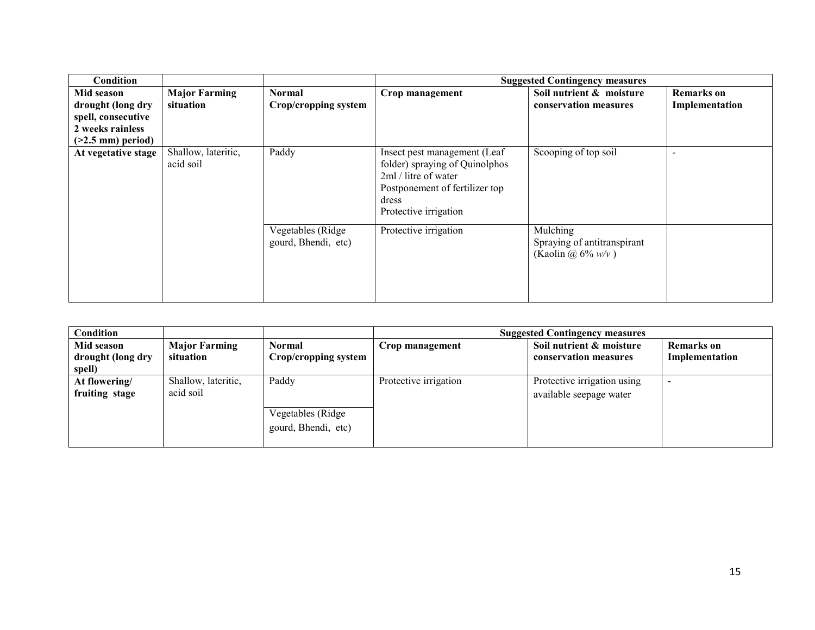| Condition                                                                                        |                                   |                                          |                                                                                                                                                            | <b>Suggested Contingency measures</b>                           |                                     |
|--------------------------------------------------------------------------------------------------|-----------------------------------|------------------------------------------|------------------------------------------------------------------------------------------------------------------------------------------------------------|-----------------------------------------------------------------|-------------------------------------|
| Mid season<br>drought (long dry<br>spell, consecutive<br>2 weeks rainless<br>$(>2.5$ mm) period) | <b>Major Farming</b><br>situation | Normal<br>Crop/cropping system           | Crop management                                                                                                                                            | Soil nutrient & moisture<br>conservation measures               | <b>Remarks</b> on<br>Implementation |
| At vegetative stage                                                                              | Shallow, lateritic,<br>acid soil  | Paddy                                    | Insect pest management (Leaf<br>folder) spraying of Quinolphos<br>2ml / litre of water<br>Postponement of fertilizer top<br>dress<br>Protective irrigation | Scooping of top soil                                            |                                     |
|                                                                                                  |                                   | Vegetables (Ridge<br>gourd, Bhendi, etc) | Protective irrigation                                                                                                                                      | Mulching<br>Spraying of antitranspirant<br>(Kaolin @ $6\%$ w/v) |                                     |

| Condition         |                      |                      | <b>Suggested Contingency measures</b> |                             |                   |  |
|-------------------|----------------------|----------------------|---------------------------------------|-----------------------------|-------------------|--|
| Mid season        | <b>Major Farming</b> | <b>Normal</b>        | Crop management                       | Soil nutrient & moisture    | <b>Remarks</b> on |  |
| drought (long dry | situation            | Crop/cropping system |                                       | conservation measures       | Implementation    |  |
| spell)            |                      |                      |                                       |                             |                   |  |
| At flowering/     | Shallow, lateritic,  | Paddy                | Protective irrigation                 | Protective irrigation using |                   |  |
| fruiting stage    | acid soil            |                      |                                       | available seepage water     |                   |  |
|                   |                      | Vegetables (Ridge    |                                       |                             |                   |  |
|                   |                      | gourd, Bhendi, etc)  |                                       |                             |                   |  |
|                   |                      |                      |                                       |                             |                   |  |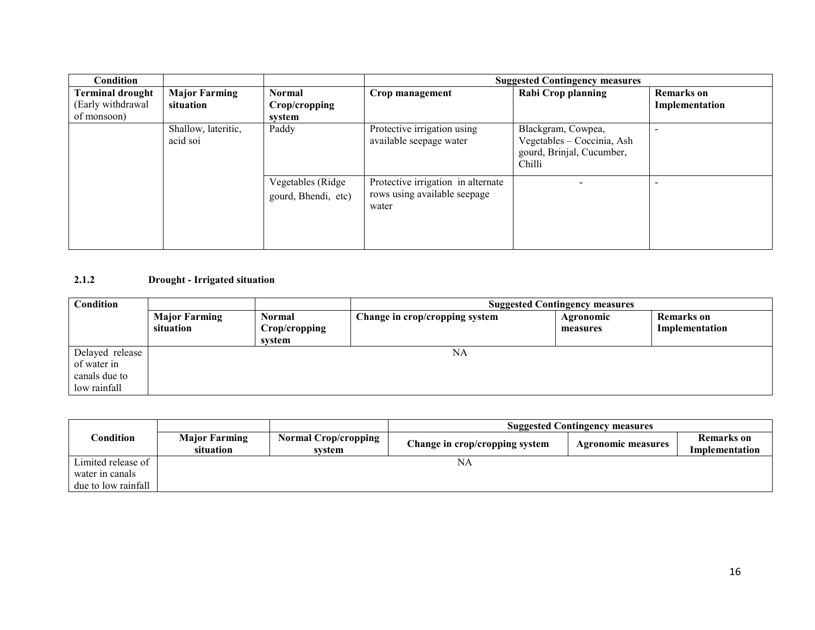| Condition               |                                 |                                          |                                                                             | <b>Suggested Contingency measures</b>                                                   |                   |
|-------------------------|---------------------------------|------------------------------------------|-----------------------------------------------------------------------------|-----------------------------------------------------------------------------------------|-------------------|
| <b>Terminal drought</b> | <b>Major Farming</b>            | <b>Normal</b>                            | Crop management                                                             | <b>Rabi Crop planning</b>                                                               | <b>Remarks</b> on |
| (Early withdrawal       | situation                       | Crop/cropping                            |                                                                             |                                                                                         | Implementation    |
| of monsoon)             |                                 | system                                   |                                                                             |                                                                                         |                   |
|                         | Shallow, lateritic,<br>acid soi | Paddy                                    | Protective irrigation using<br>available seepage water                      | Blackgram, Cowpea,<br>Vegetables - Coccinia, Ash<br>gourd, Brinjal, Cucumber,<br>Chilli |                   |
|                         |                                 | Vegetables (Ridge<br>gourd, Bhendi, etc) | Protective irrigation in alternate<br>rows using available seepage<br>water |                                                                                         |                   |

#### 2.1.2 Drought - Irrigated situation

| Condition                                                       |                                   |                                   | <b>Suggested Contingency measures</b> |                       |                                     |  |
|-----------------------------------------------------------------|-----------------------------------|-----------------------------------|---------------------------------------|-----------------------|-------------------------------------|--|
|                                                                 | <b>Major Farming</b><br>situation | Normal<br>Crop/cropping<br>system | Change in crop/cropping system        | Agronomic<br>measures | <b>Remarks</b> on<br>Implementation |  |
| Delayed release<br>of water in<br>canals due to<br>low rainfall |                                   |                                   | NA                                    |                       |                                     |  |

|                     |                                   |                                       | <b>Suggested Contingency measures</b> |                           |                                     |  |
|---------------------|-----------------------------------|---------------------------------------|---------------------------------------|---------------------------|-------------------------------------|--|
| $\cap$ ondition     | <b>Major Farming</b><br>situation | <b>Normal Crop/cropping</b><br>system | Change in crop/cropping system        | <b>Agronomic measures</b> | <b>Remarks</b> on<br>Implementation |  |
| Limited release of  |                                   |                                       | NA                                    |                           |                                     |  |
| water in canals     |                                   |                                       |                                       |                           |                                     |  |
| due to low rainfall |                                   |                                       |                                       |                           |                                     |  |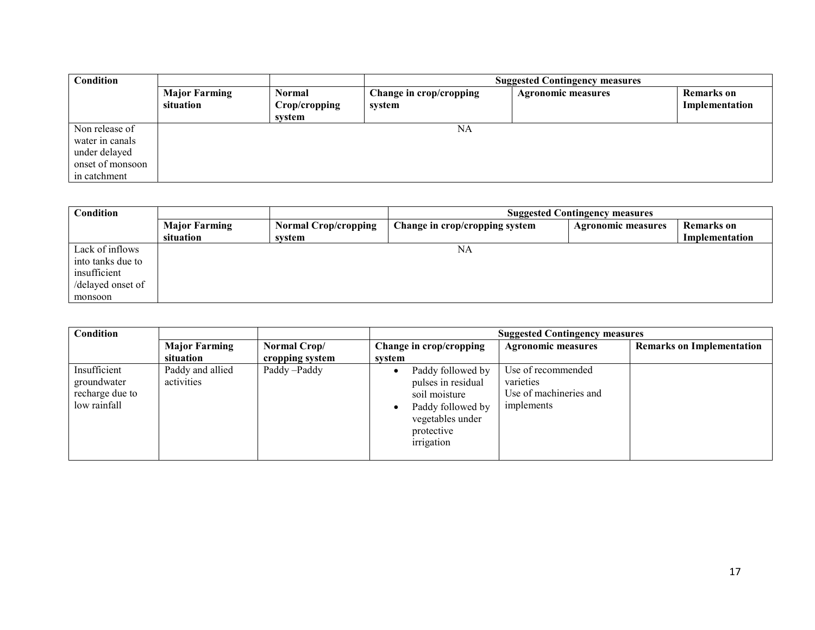| Condition                                                                              |                                   |                                          | <b>Suggested Contingency measures</b> |                           |                                     |
|----------------------------------------------------------------------------------------|-----------------------------------|------------------------------------------|---------------------------------------|---------------------------|-------------------------------------|
|                                                                                        | <b>Major Farming</b><br>situation | <b>Normal</b><br>Crop/cropping<br>svstem | Change in crop/cropping<br>system     | <b>Agronomic measures</b> | <b>Remarks</b> on<br>Implementation |
| Non release of<br>water in canals<br>under delayed<br>onset of monsoon<br>in catchment |                                   |                                          | NA                                    |                           |                                     |

| Condition         |                      |                             | <b>Suggested Contingency measures</b> |                           |                   |
|-------------------|----------------------|-----------------------------|---------------------------------------|---------------------------|-------------------|
|                   | <b>Major Farming</b> | <b>Normal Crop/cropping</b> | Change in crop/cropping system        | <b>Agronomic measures</b> | <b>Remarks</b> on |
|                   | situation            | svstem                      |                                       |                           | Implementation    |
| Lack of inflows   |                      |                             | NA                                    |                           |                   |
| into tanks due to |                      |                             |                                       |                           |                   |
| insufficient      |                      |                             |                                       |                           |                   |
| /delayed onset of |                      |                             |                                       |                           |                   |
| monsoon           |                      |                             |                                       |                           |                   |

| <b>Condition</b>                                               |                                   |                                 | <b>Suggested Contingency measures</b>                                                                                         |                                                                         |                                  |
|----------------------------------------------------------------|-----------------------------------|---------------------------------|-------------------------------------------------------------------------------------------------------------------------------|-------------------------------------------------------------------------|----------------------------------|
|                                                                | <b>Major Farming</b><br>situation | Normal Crop/<br>cropping system | Change in crop/cropping<br>system                                                                                             | <b>Agronomic measures</b>                                               | <b>Remarks on Implementation</b> |
| Insufficient<br>groundwater<br>recharge due to<br>low rainfall | Paddy and allied<br>activities    | Paddy-Paddy                     | Paddy followed by<br>pulses in residual<br>soil moisture<br>Paddy followed by<br>vegetables under<br>protective<br>irrigation | Use of recommended<br>varieties<br>Use of machineries and<br>implements |                                  |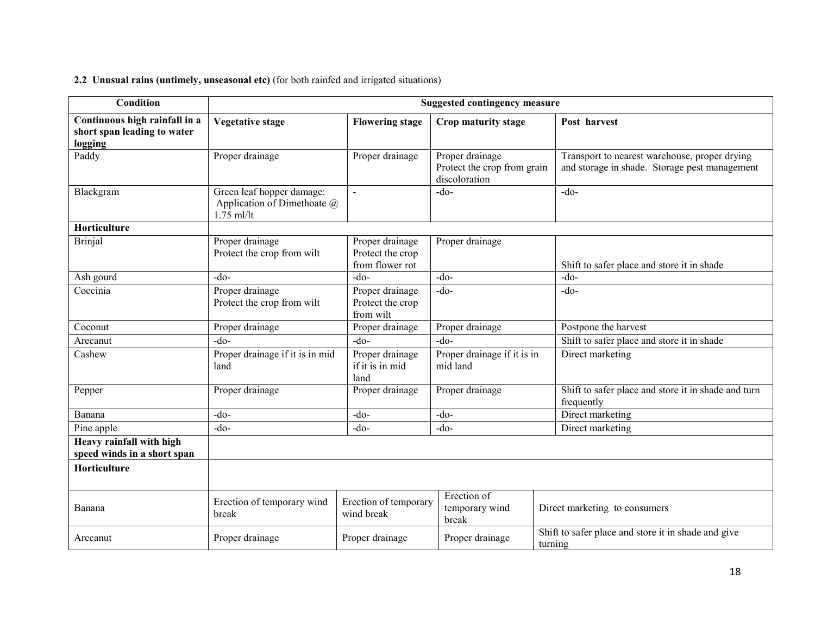#### 2.2 Unusual rains (untimely, unseasonal etc) (for both rainfed and irrigated situations)

| Condition                                                               |                                                                          |                                                        | <b>Suggested contingency measure</b>                            |                                                                                                |
|-------------------------------------------------------------------------|--------------------------------------------------------------------------|--------------------------------------------------------|-----------------------------------------------------------------|------------------------------------------------------------------------------------------------|
| Continuous high rainfall in a<br>short span leading to water<br>logging | <b>Vegetative stage</b>                                                  | <b>Flowering stage</b>                                 | Crop maturity stage                                             | Post harvest                                                                                   |
| Paddy                                                                   | Proper drainage                                                          | Proper drainage                                        | Proper drainage<br>Protect the crop from grain<br>discoloration | Transport to nearest warehouse, proper drying<br>and storage in shade. Storage pest management |
| Blackgram                                                               | Green leaf hopper damage:<br>Application of Dimethoate @<br>$1.75$ ml/lt | $\sim$                                                 | $-do$                                                           | $-do-$                                                                                         |
| Horticulture                                                            |                                                                          |                                                        |                                                                 |                                                                                                |
| <b>Brinjal</b>                                                          | Proper drainage<br>Protect the crop from wilt                            | Proper drainage<br>Protect the crop<br>from flower rot | Proper drainage                                                 | Shift to safer place and store it in shade                                                     |
| Ash gourd                                                               | $-do-$                                                                   | $-do-$                                                 | $-do$                                                           | $-do$                                                                                          |
| Coccinia                                                                | Proper drainage<br>Protect the crop from wilt                            | Proper drainage<br>Protect the crop<br>from wilt       | $-do$                                                           | $-do$                                                                                          |
| Coconut                                                                 | Proper drainage                                                          | Proper drainage                                        | Proper drainage                                                 | Postpone the harvest                                                                           |
| Arecanut                                                                | $-do-$                                                                   | $-do$ -                                                | $-do$                                                           | Shift to safer place and store it in shade                                                     |
| Cashew                                                                  | Proper drainage if it is in mid<br>land                                  | Proper drainage<br>if it is in mid<br>land             | Proper drainage if it is in<br>mid land                         | Direct marketing                                                                               |
| Pepper                                                                  | Proper drainage                                                          | Proper drainage                                        | Proper drainage                                                 | Shift to safer place and store it in shade and turn<br>frequently                              |
| Banana                                                                  | $-do$                                                                    | $-do-$                                                 | $-do$                                                           | Direct marketing                                                                               |
| Pine apple                                                              | $-do$                                                                    | $-do$                                                  | $-do$                                                           | Direct marketing                                                                               |
| Heavy rainfall with high<br>speed winds in a short span                 |                                                                          |                                                        |                                                                 |                                                                                                |
| Horticulture                                                            |                                                                          |                                                        |                                                                 |                                                                                                |
| Banana                                                                  | Erection of temporary wind<br>break                                      | Erection of temporary<br>wind break                    | Erection of<br>temporary wind<br>break                          | Direct marketing to consumers                                                                  |
| Arecanut                                                                | Proper drainage                                                          | Proper drainage                                        | Proper drainage                                                 | Shift to safer place and store it in shade and give<br>turning                                 |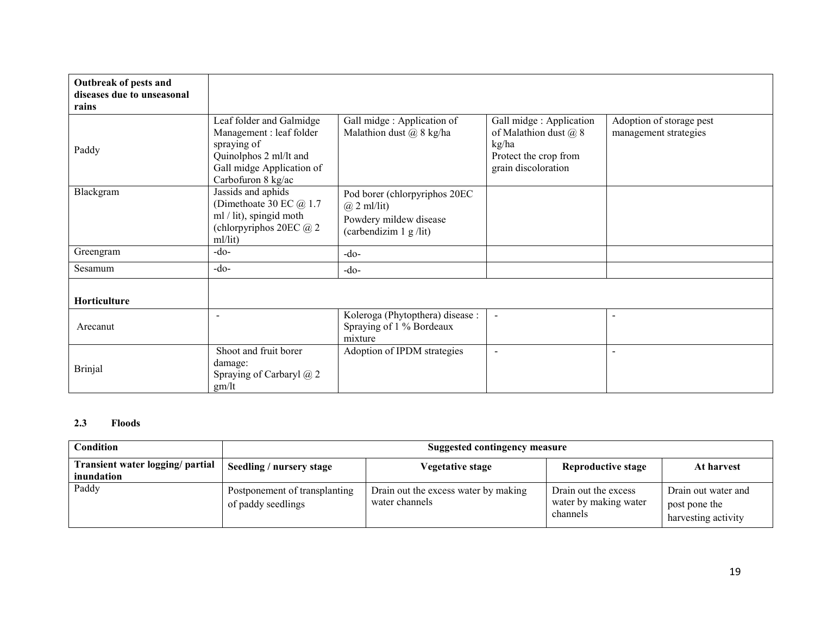| Outbreak of pests and<br>diseases due to unseasonal<br>rains |                                                                                                                                                  |                                                                                                          |                                                                                                                |                                                   |
|--------------------------------------------------------------|--------------------------------------------------------------------------------------------------------------------------------------------------|----------------------------------------------------------------------------------------------------------|----------------------------------------------------------------------------------------------------------------|---------------------------------------------------|
| Paddy                                                        | Leaf folder and Galmidge<br>Management : leaf folder<br>spraying of<br>Quinolphos 2 ml/lt and<br>Gall midge Application of<br>Carbofuron 8 kg/ac | Gall midge : Application of<br>Malathion dust $\omega$ 8 kg/ha                                           | Gall midge : Application<br>of Malathion dust $(a)$ 8<br>kg/ha<br>Protect the crop from<br>grain discoloration | Adoption of storage pest<br>management strategies |
| Blackgram                                                    | Jassids and aphids<br>(Dimethoate 30 EC $@1.7$<br>ml / lit), spingid moth<br>(chlorpyriphos 20EC @ 2<br>ml/lit)                                  | Pod borer (chlorpyriphos 20EC<br>$(a)$ 2 ml/lit)<br>Powdery mildew disease<br>(carbendizim $1 g / lit$ ) |                                                                                                                |                                                   |
| Greengram                                                    | $-do-$                                                                                                                                           | $-do-$                                                                                                   |                                                                                                                |                                                   |
| Sesamum                                                      | $-do-$                                                                                                                                           | $-do-$                                                                                                   |                                                                                                                |                                                   |
| <b>Horticulture</b>                                          |                                                                                                                                                  |                                                                                                          |                                                                                                                |                                                   |
| Arecanut                                                     | $\sim$                                                                                                                                           | Koleroga (Phytopthera) disease :<br>Spraying of 1 % Bordeaux<br>mixture                                  | $\blacksquare$                                                                                                 | $\overline{\phantom{a}}$                          |
| <b>Brinjal</b>                                               | Shoot and fruit borer<br>damage:<br>Spraying of Carbaryl @ 2<br>gm/It                                                                            | Adoption of IPDM strategies                                                                              | $\blacksquare$                                                                                                 | $\sim$                                            |

# 2.3 Floods

| Condition                                      | Suggested contingency measure                       |                                                        |                                                           |                                                             |
|------------------------------------------------|-----------------------------------------------------|--------------------------------------------------------|-----------------------------------------------------------|-------------------------------------------------------------|
| Transient water logging/ partial<br>inundation | Seedling / nursery stage                            | Vegetative stage                                       | <b>Reproductive stage</b>                                 | At harvest                                                  |
| Paddy                                          | Postponement of transplanting<br>of paddy seedlings | Drain out the excess water by making<br>water channels | Drain out the excess<br>water by making water<br>channels | Drain out water and<br>post pone the<br>harvesting activity |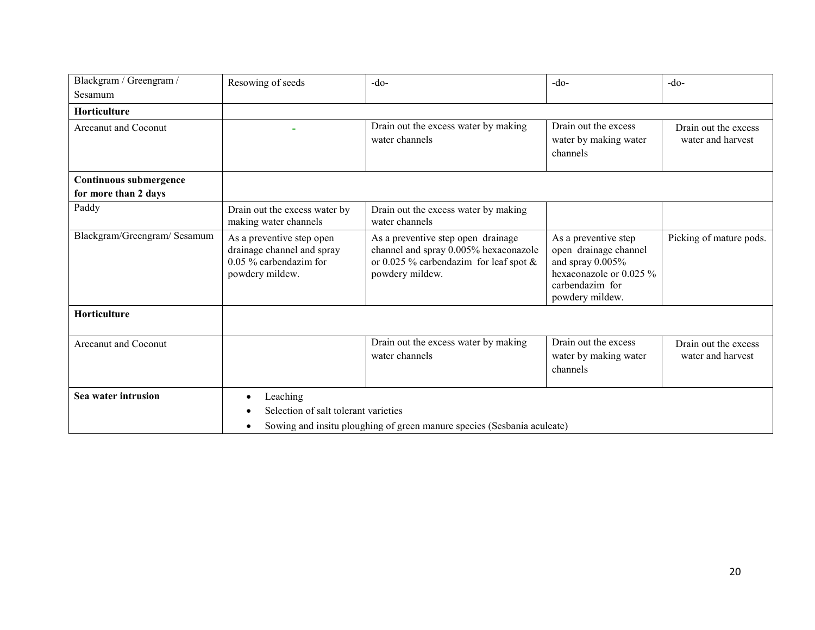| Blackgram / Greengram /      | Resowing of seeds                                                                                                           | $-do-$                                                                                                                                      | $-do-$                                                                                                                             | $-do-$                                    |
|------------------------------|-----------------------------------------------------------------------------------------------------------------------------|---------------------------------------------------------------------------------------------------------------------------------------------|------------------------------------------------------------------------------------------------------------------------------------|-------------------------------------------|
| Sesamum                      |                                                                                                                             |                                                                                                                                             |                                                                                                                                    |                                           |
| <b>Horticulture</b>          |                                                                                                                             |                                                                                                                                             |                                                                                                                                    |                                           |
| Arecanut and Coconut         |                                                                                                                             | Drain out the excess water by making<br>water channels                                                                                      | Drain out the excess<br>water by making water<br>channels                                                                          | Drain out the excess<br>water and harvest |
| Continuous submergence       |                                                                                                                             |                                                                                                                                             |                                                                                                                                    |                                           |
| for more than 2 days         |                                                                                                                             |                                                                                                                                             |                                                                                                                                    |                                           |
| Paddy                        | Drain out the excess water by<br>making water channels                                                                      | Drain out the excess water by making<br>water channels                                                                                      |                                                                                                                                    |                                           |
| Blackgram/Greengram/ Sesamum | As a preventive step open<br>drainage channel and spray<br>$0.05\%$ carbendazim for<br>powdery mildew.                      | As a preventive step open drainage<br>channel and spray 0.005% hexaconazole<br>or 0.025 % carbendazim for leaf spot $\&$<br>powdery mildew. | As a preventive step<br>open drainage channel<br>and spray 0.005%<br>hexaconazole or 0.025 %<br>carbendazim for<br>powdery mildew. | Picking of mature pods.                   |
| Horticulture                 |                                                                                                                             |                                                                                                                                             |                                                                                                                                    |                                           |
| Arecanut and Coconut         |                                                                                                                             | Drain out the excess water by making<br>water channels                                                                                      | Drain out the excess<br>water by making water<br>channels                                                                          | Drain out the excess<br>water and harvest |
| Sea water intrusion          | Leaching<br>Selection of salt tolerant varieties<br>Sowing and insitu ploughing of green manure species (Sesbania aculeate) |                                                                                                                                             |                                                                                                                                    |                                           |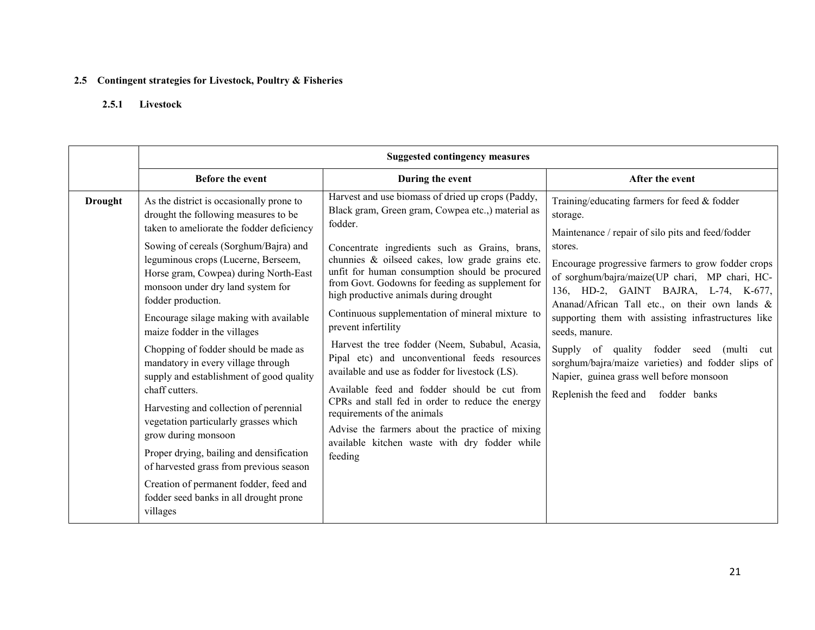### 2.5 Contingent strategies for Livestock, Poultry & Fisheries

## 2.5.1 Livestock

|                | <b>Suggested contingency measures</b>                                                                                                                                                                                                                                                                                                                                                                                                                                                                                                                                                                                                                                                                                                                                                                                                    |                                                                                                                                                                                                                                                                                                                                                                                                                                                                                                                                                                                                                                                                                                                                                                                                                                                            |                                                                                                                                                                                                                                                                                                                                                                                                                                                                                                                                                                                                     |  |  |
|----------------|------------------------------------------------------------------------------------------------------------------------------------------------------------------------------------------------------------------------------------------------------------------------------------------------------------------------------------------------------------------------------------------------------------------------------------------------------------------------------------------------------------------------------------------------------------------------------------------------------------------------------------------------------------------------------------------------------------------------------------------------------------------------------------------------------------------------------------------|------------------------------------------------------------------------------------------------------------------------------------------------------------------------------------------------------------------------------------------------------------------------------------------------------------------------------------------------------------------------------------------------------------------------------------------------------------------------------------------------------------------------------------------------------------------------------------------------------------------------------------------------------------------------------------------------------------------------------------------------------------------------------------------------------------------------------------------------------------|-----------------------------------------------------------------------------------------------------------------------------------------------------------------------------------------------------------------------------------------------------------------------------------------------------------------------------------------------------------------------------------------------------------------------------------------------------------------------------------------------------------------------------------------------------------------------------------------------------|--|--|
|                | <b>Before the event</b>                                                                                                                                                                                                                                                                                                                                                                                                                                                                                                                                                                                                                                                                                                                                                                                                                  | During the event                                                                                                                                                                                                                                                                                                                                                                                                                                                                                                                                                                                                                                                                                                                                                                                                                                           | After the event                                                                                                                                                                                                                                                                                                                                                                                                                                                                                                                                                                                     |  |  |
| <b>Drought</b> | As the district is occasionally prone to<br>drought the following measures to be<br>taken to ameliorate the fodder deficiency<br>Sowing of cereals (Sorghum/Bajra) and<br>leguminous crops (Lucerne, Berseem,<br>Horse gram, Cowpea) during North-East<br>monsoon under dry land system for<br>fodder production.<br>Encourage silage making with available<br>maize fodder in the villages<br>Chopping of fodder should be made as<br>mandatory in every village through<br>supply and establishment of good quality<br>chaff cutters.<br>Harvesting and collection of perennial<br>vegetation particularly grasses which<br>grow during monsoon<br>Proper drying, bailing and densification<br>of harvested grass from previous season<br>Creation of permanent fodder, feed and<br>fodder seed banks in all drought prone<br>villages | Harvest and use biomass of dried up crops (Paddy,<br>Black gram, Green gram, Cowpea etc.,) material as<br>fodder.<br>Concentrate ingredients such as Grains, brans,<br>chunnies & oilseed cakes, low grade grains etc.<br>unfit for human consumption should be procured<br>from Govt. Godowns for feeding as supplement for<br>high productive animals during drought<br>Continuous supplementation of mineral mixture to<br>prevent infertility<br>Harvest the tree fodder (Neem, Subabul, Acasia,<br>Pipal etc) and unconventional feeds resources<br>available and use as fodder for livestock (LS).<br>Available feed and fodder should be cut from<br>CPRs and stall fed in order to reduce the energy<br>requirements of the animals<br>Advise the farmers about the practice of mixing<br>available kitchen waste with dry fodder while<br>feeding | Training/educating farmers for feed $&$ fodder<br>storage.<br>Maintenance / repair of silo pits and feed/fodder<br>stores.<br>Encourage progressive farmers to grow fodder crops<br>of sorghum/bajra/maize(UP chari, MP chari, HC-<br>136, HD-2, GAINT BAJRA, L-74, K-677,<br>Ananad/African Tall etc., on their own lands &<br>supporting them with assisting infrastructures like<br>seeds, manure.<br>Supply<br>of quality<br>fodder seed (multi<br>cut<br>sorghum/bajra/maize varieties) and fodder slips of<br>Napier, guinea grass well before monsoon<br>Replenish the feed and fodder banks |  |  |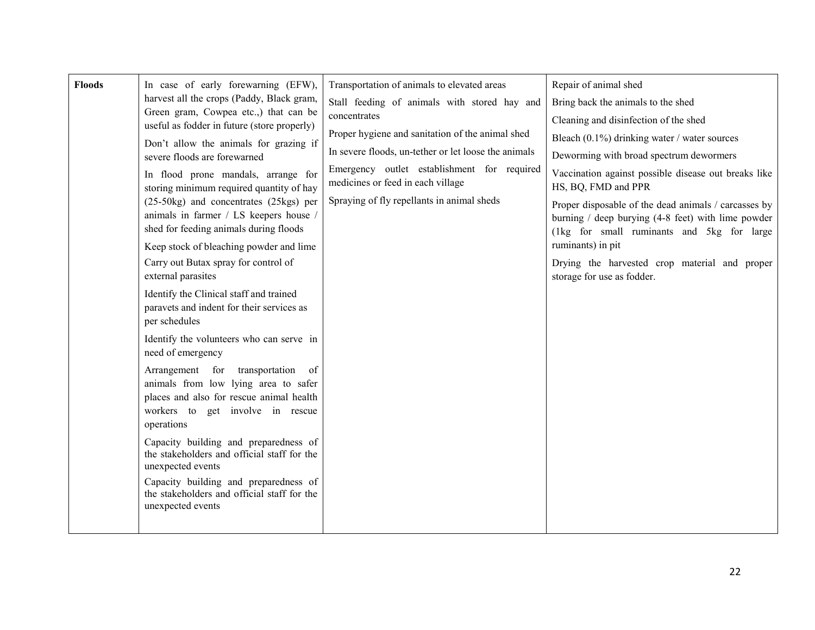| <b>Floods</b> | In case of early forewarning (EFW),<br>harvest all the crops (Paddy, Black gram,<br>Green gram, Cowpea etc.,) that can be<br>useful as fodder in future (store properly)<br>Don't allow the animals for grazing if<br>severe floods are forewarned<br>In flood prone mandals, arrange for<br>storing minimum required quantity of hay<br>$(25-50\text{kg})$ and concentrates $(25\text{kg})$ per<br>animals in farmer / LS keepers house /<br>shed for feeding animals during floods<br>Keep stock of bleaching powder and lime<br>Carry out Butax spray for control of<br>external parasites<br>Identify the Clinical staff and trained<br>paravets and indent for their services as<br>per schedules<br>Identify the volunteers who can serve in<br>need of emergency<br>Arrangement for<br>transportation<br><sub>of</sub><br>animals from low lying area to safer<br>places and also for rescue animal health<br>workers to get involve in rescue<br>operations<br>Capacity building and preparedness of<br>the stakeholders and official staff for the<br>unexpected events<br>Capacity building and preparedness of<br>the stakeholders and official staff for the | Transportation of animals to elevated areas<br>Stall feeding of animals with stored hay and<br>concentrates<br>Proper hygiene and sanitation of the animal shed<br>In severe floods, un-tether or let loose the animals<br>Emergency outlet establishment for required<br>medicines or feed in each village<br>Spraying of fly repellants in animal sheds | Repair of animal shed<br>Bring back the animals to the shed<br>Cleaning and disinfection of the shed<br>Bleach $(0.1\%)$ drinking water / water sources<br>Deworming with broad spectrum dewormers<br>Vaccination against possible disease out breaks like<br>HS, BQ, FMD and PPR<br>Proper disposable of the dead animals / carcasses by<br>burning $/$ deep burying (4-8 feet) with lime powder<br>(1kg for small ruminants and 5kg for large<br>ruminants) in pit<br>Drying the harvested crop material and proper<br>storage for use as fodder. |
|---------------|--------------------------------------------------------------------------------------------------------------------------------------------------------------------------------------------------------------------------------------------------------------------------------------------------------------------------------------------------------------------------------------------------------------------------------------------------------------------------------------------------------------------------------------------------------------------------------------------------------------------------------------------------------------------------------------------------------------------------------------------------------------------------------------------------------------------------------------------------------------------------------------------------------------------------------------------------------------------------------------------------------------------------------------------------------------------------------------------------------------------------------------------------------------------------|-----------------------------------------------------------------------------------------------------------------------------------------------------------------------------------------------------------------------------------------------------------------------------------------------------------------------------------------------------------|-----------------------------------------------------------------------------------------------------------------------------------------------------------------------------------------------------------------------------------------------------------------------------------------------------------------------------------------------------------------------------------------------------------------------------------------------------------------------------------------------------------------------------------------------------|
|               | unexpected events                                                                                                                                                                                                                                                                                                                                                                                                                                                                                                                                                                                                                                                                                                                                                                                                                                                                                                                                                                                                                                                                                                                                                        |                                                                                                                                                                                                                                                                                                                                                           |                                                                                                                                                                                                                                                                                                                                                                                                                                                                                                                                                     |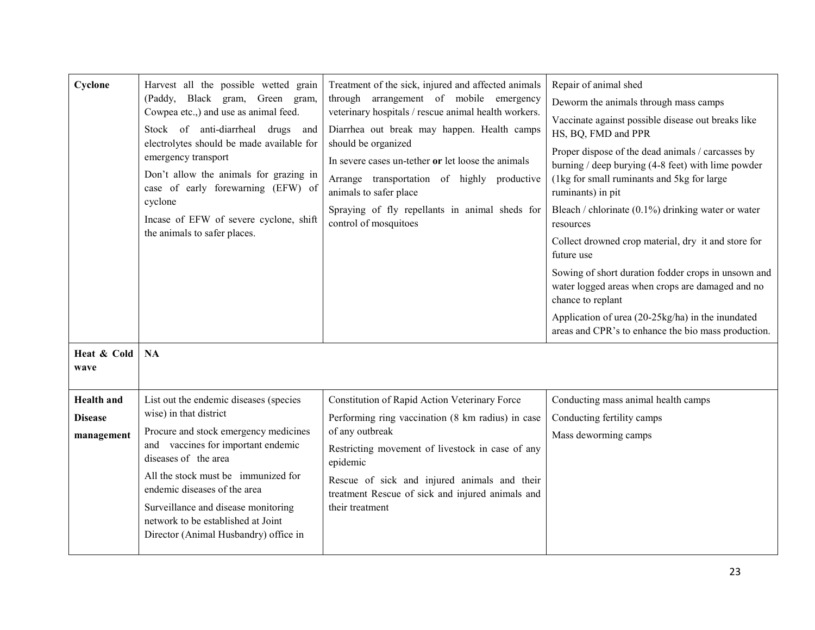| Cyclone<br>Heat & Cold                            | Harvest all the possible wetted grain<br>(Paddy, Black gram, Green gram,<br>Cowpea etc.,) and use as animal feed.<br>Stock of anti-diarrheal drugs<br>and<br>electrolytes should be made available for<br>emergency transport<br>Don't allow the animals for grazing in<br>case of early forewarning (EFW) of<br>cyclone<br>Incase of EFW of severe cyclone, shift<br>the animals to safer places.<br>NA | Treatment of the sick, injured and affected animals<br>through arrangement of mobile emergency<br>veterinary hospitals / rescue animal health workers.<br>Diarrhea out break may happen. Health camps<br>should be organized<br>In severe cases un-tether or let loose the animals<br>Arrange transportation of highly productive<br>animals to safer place<br>Spraying of fly repellants in animal sheds for<br>control of mosquitoes | Repair of animal shed<br>Deworm the animals through mass camps<br>Vaccinate against possible disease out breaks like<br>HS, BQ, FMD and PPR<br>Proper dispose of the dead animals / carcasses by<br>burning / deep burying $(4-8$ feet) with lime powder<br>(1kg for small ruminants and 5kg for large<br>ruminants) in pit<br>Bleach / chlorinate (0.1%) drinking water or water<br>resources<br>Collect drowned crop material, dry it and store for<br>future use<br>Sowing of short duration fodder crops in unsown and<br>water logged areas when crops are damaged and no<br>chance to replant<br>Application of urea (20-25kg/ha) in the inundated<br>areas and CPR's to enhance the bio mass production. |
|---------------------------------------------------|----------------------------------------------------------------------------------------------------------------------------------------------------------------------------------------------------------------------------------------------------------------------------------------------------------------------------------------------------------------------------------------------------------|----------------------------------------------------------------------------------------------------------------------------------------------------------------------------------------------------------------------------------------------------------------------------------------------------------------------------------------------------------------------------------------------------------------------------------------|-----------------------------------------------------------------------------------------------------------------------------------------------------------------------------------------------------------------------------------------------------------------------------------------------------------------------------------------------------------------------------------------------------------------------------------------------------------------------------------------------------------------------------------------------------------------------------------------------------------------------------------------------------------------------------------------------------------------|
| wave                                              |                                                                                                                                                                                                                                                                                                                                                                                                          |                                                                                                                                                                                                                                                                                                                                                                                                                                        |                                                                                                                                                                                                                                                                                                                                                                                                                                                                                                                                                                                                                                                                                                                 |
| <b>Health</b> and<br><b>Disease</b><br>management | List out the endemic diseases (species<br>wise) in that district<br>Procure and stock emergency medicines<br>and vaccines for important endemic<br>diseases of the area<br>All the stock must be immunized for<br>endemic diseases of the area<br>Surveillance and disease monitoring<br>network to be established at Joint<br>Director (Animal Husbandry) office in                                     | Constitution of Rapid Action Veterinary Force<br>Performing ring vaccination (8 km radius) in case<br>of any outbreak<br>Restricting movement of livestock in case of any<br>epidemic<br>Rescue of sick and injured animals and their<br>treatment Rescue of sick and injured animals and<br>their treatment                                                                                                                           | Conducting mass animal health camps<br>Conducting fertility camps<br>Mass deworming camps                                                                                                                                                                                                                                                                                                                                                                                                                                                                                                                                                                                                                       |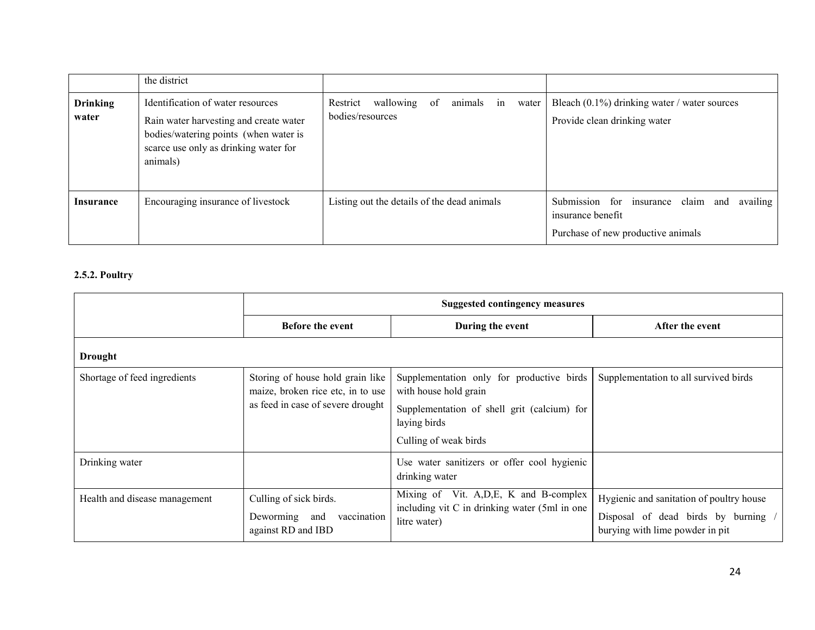|                          | the district                                                                                                                                                              |                                                                           |                                                                                                           |
|--------------------------|---------------------------------------------------------------------------------------------------------------------------------------------------------------------------|---------------------------------------------------------------------------|-----------------------------------------------------------------------------------------------------------|
| <b>Drinking</b><br>water | Identification of water resources<br>Rain water harvesting and create water<br>bodies/watering points (when water is<br>scarce use only as drinking water for<br>animals) | wallowing<br>Restrict<br>of<br>animals<br>in<br>water<br>bodies/resources | Bleach $(0.1\%)$ drinking water / water sources<br>Provide clean drinking water                           |
| <b>Insurance</b>         | Encouraging insurance of livestock                                                                                                                                        | Listing out the details of the dead animals                               | Submission for insurance claim and<br>availing<br>insurance benefit<br>Purchase of new productive animals |

## 2.5.2. Poultry

|                               | <b>Suggested contingency measures</b>                                                                      |                                                                                                                                                            |                                                                                                                  |  |
|-------------------------------|------------------------------------------------------------------------------------------------------------|------------------------------------------------------------------------------------------------------------------------------------------------------------|------------------------------------------------------------------------------------------------------------------|--|
|                               | <b>Before the event</b>                                                                                    | During the event                                                                                                                                           | After the event                                                                                                  |  |
| <b>Drought</b>                |                                                                                                            |                                                                                                                                                            |                                                                                                                  |  |
| Shortage of feed ingredients  | Storing of house hold grain like<br>maize, broken rice etc, in to use<br>as feed in case of severe drought | Supplementation only for productive birds<br>with house hold grain<br>Supplementation of shell grit (calcium) for<br>laying birds<br>Culling of weak birds | Supplementation to all survived birds                                                                            |  |
| Drinking water                |                                                                                                            | Use water sanitizers or offer cool hygienic<br>drinking water                                                                                              |                                                                                                                  |  |
| Health and disease management | Culling of sick birds.<br>Deworming and<br>vaccination<br>against RD and IBD                               | Mixing of Vit. A, D, E, K and B-complex<br>including vit C in drinking water (5ml in one<br>litre water)                                                   | Hygienic and sanitation of poultry house<br>Disposal of dead birds by burning<br>burying with lime powder in pit |  |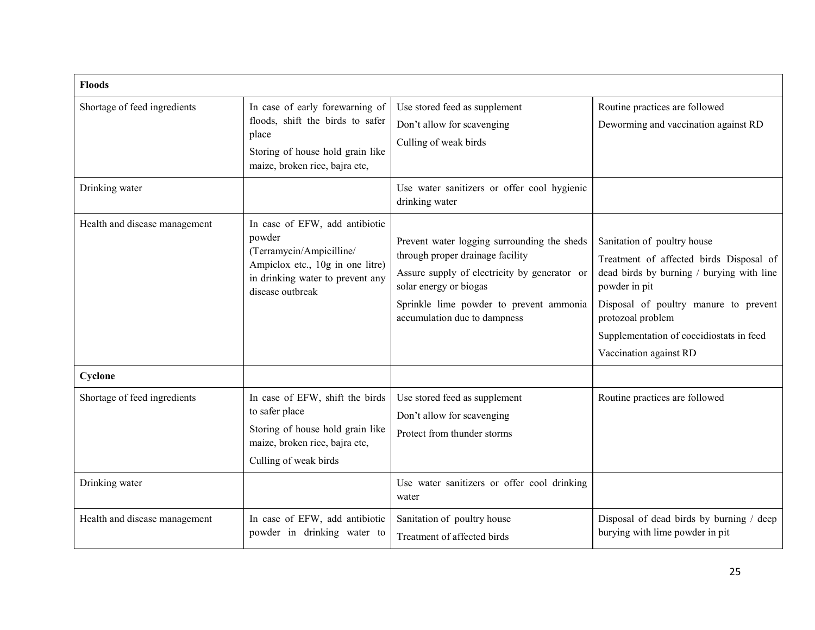| <b>Floods</b>                 |                                                                                                                                                                  |                                                                                                                                                                                                                                      |                                                                                                                                                                                                                                                                          |
|-------------------------------|------------------------------------------------------------------------------------------------------------------------------------------------------------------|--------------------------------------------------------------------------------------------------------------------------------------------------------------------------------------------------------------------------------------|--------------------------------------------------------------------------------------------------------------------------------------------------------------------------------------------------------------------------------------------------------------------------|
| Shortage of feed ingredients  | In case of early forewarning of<br>floods, shift the birds to safer<br>place<br>Storing of house hold grain like<br>maize, broken rice, bajra etc,               | Use stored feed as supplement<br>Don't allow for scavenging<br>Culling of weak birds                                                                                                                                                 | Routine practices are followed<br>Deworming and vaccination against RD                                                                                                                                                                                                   |
| Drinking water                |                                                                                                                                                                  | Use water sanitizers or offer cool hygienic<br>drinking water                                                                                                                                                                        |                                                                                                                                                                                                                                                                          |
| Health and disease management | In case of EFW, add antibiotic<br>powder<br>(Terramycin/Ampicilline/<br>Ampiclox etc., 10g in one litre)<br>in drinking water to prevent any<br>disease outbreak | Prevent water logging surrounding the sheds<br>through proper drainage facility<br>Assure supply of electricity by generator or<br>solar energy or biogas<br>Sprinkle lime powder to prevent ammonia<br>accumulation due to dampness | Sanitation of poultry house<br>Treatment of affected birds Disposal of<br>dead birds by burning / burying with line<br>powder in pit<br>Disposal of poultry manure to prevent<br>protozoal problem<br>Supplementation of coccidiostats in feed<br>Vaccination against RD |
| Cyclone                       |                                                                                                                                                                  |                                                                                                                                                                                                                                      |                                                                                                                                                                                                                                                                          |
| Shortage of feed ingredients  | In case of EFW, shift the birds<br>to safer place<br>Storing of house hold grain like<br>maize, broken rice, bajra etc,<br>Culling of weak birds                 | Use stored feed as supplement<br>Don't allow for scavenging<br>Protect from thunder storms                                                                                                                                           | Routine practices are followed                                                                                                                                                                                                                                           |
| Drinking water                |                                                                                                                                                                  | Use water sanitizers or offer cool drinking<br>water                                                                                                                                                                                 |                                                                                                                                                                                                                                                                          |
| Health and disease management | In case of EFW, add antibiotic<br>powder in drinking water to                                                                                                    | Sanitation of poultry house<br>Treatment of affected birds                                                                                                                                                                           | Disposal of dead birds by burning / deep<br>burying with lime powder in pit                                                                                                                                                                                              |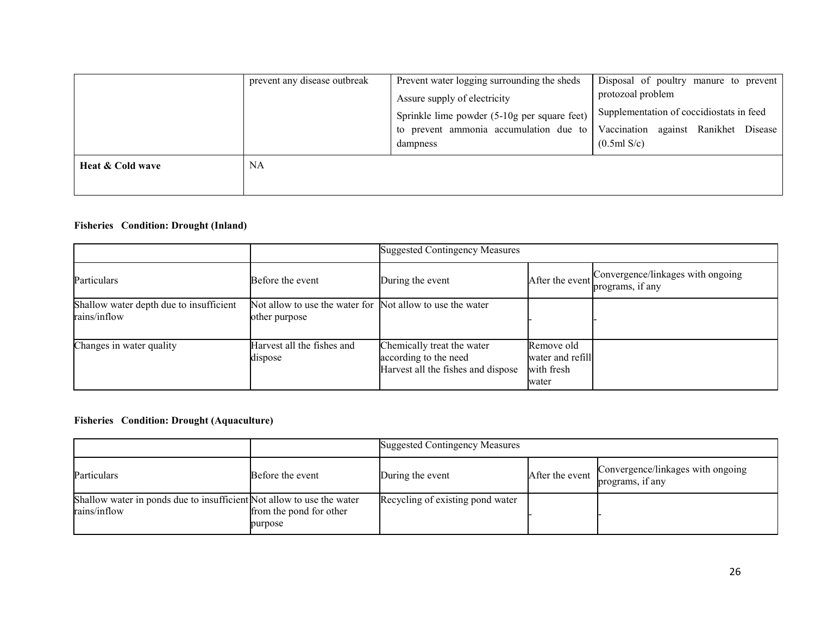|                  | prevent any disease outbreak | Prevent water logging surrounding the sheds<br>Assure supply of electricity<br>Sprinkle lime powder (5-10g per square feet)<br>to prevent ammonia accumulation due to<br>dampness | Disposal of poultry manure to prevent<br>protozoal problem<br>Supplementation of coccidiostats in feed<br>Vaccination against Ranikhet Disease<br>(0.5ml S/c) |
|------------------|------------------------------|-----------------------------------------------------------------------------------------------------------------------------------------------------------------------------------|---------------------------------------------------------------------------------------------------------------------------------------------------------------|
| Heat & Cold wave | NA                           |                                                                                                                                                                                   |                                                                                                                                                               |

#### Fisheries Condition: Drought (Inland)

|                                                         |                                                                            | <b>Suggested Contingency Measures</b>                                                     |                                                       |                                                       |
|---------------------------------------------------------|----------------------------------------------------------------------------|-------------------------------------------------------------------------------------------|-------------------------------------------------------|-------------------------------------------------------|
| Particulars                                             | Before the event                                                           | During the event                                                                          | After the event                                       | Convergence/linkages with ongoing<br>programs, if any |
| Shallow water depth due to insufficient<br>rains/inflow | Not allow to use the water for Not allow to use the water<br>other purpose |                                                                                           |                                                       |                                                       |
| Changes in water quality                                | Harvest all the fishes and<br>dispose                                      | Chemically treat the water<br>according to the need<br>Harvest all the fishes and dispose | Remove old<br>water and refill<br>with fresh<br>water |                                                       |

#### Fisheries Condition: Drought (Aquaculture)

|                                                                                       |                                    | <b>Suggested Contingency Measures</b> |                 |                                                       |
|---------------------------------------------------------------------------------------|------------------------------------|---------------------------------------|-----------------|-------------------------------------------------------|
| Particulars                                                                           | Before the event                   | During the event                      | After the event | Convergence/linkages with ongoing<br>programs, if any |
| Shallow water in ponds due to insufficient Not allow to use the water<br>rains/inflow | from the pond for other<br>purpose | Recycling of existing pond water      |                 |                                                       |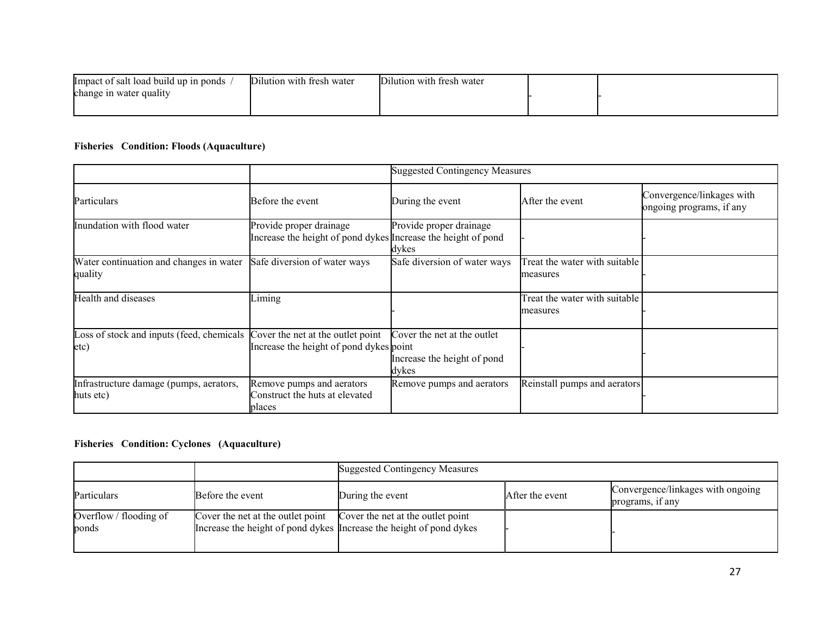| Impact of salt load build up in ponds | Dilution with fresh water | Dilution with fresh water |  |
|---------------------------------------|---------------------------|---------------------------|--|
| $\cdot$ .<br>change in water quality  |                           |                           |  |
|                                       |                           |                           |  |

# Fisheries Condition: Floods (Aquaculture)

|                                                                                     |                                                                                          | <b>Suggested Contingency Measures</b>                               |                                           |                                                       |  |
|-------------------------------------------------------------------------------------|------------------------------------------------------------------------------------------|---------------------------------------------------------------------|-------------------------------------------|-------------------------------------------------------|--|
| Particulars                                                                         | Before the event                                                                         | During the event                                                    | After the event                           | Convergence/linkages with<br>ongoing programs, if any |  |
| Inundation with flood water                                                         | Provide proper drainage<br>Increase the height of pond dykes Increase the height of pond | Provide proper drainage<br>dykes                                    |                                           |                                                       |  |
| Water continuation and changes in water<br>quality                                  | Safe diversion of water ways                                                             | Safe diversion of water ways                                        | Treat the water with suitable<br>measures |                                                       |  |
| Health and diseases                                                                 | Liming                                                                                   |                                                                     | Treat the water with suitable<br>measures |                                                       |  |
| Loss of stock and inputs (feed, chemicals Cover the net at the outlet point<br>etc) | Increase the height of pond dykes point                                                  | Cover the net at the outlet<br>Increase the height of pond<br>dykes |                                           |                                                       |  |
| Infrastructure damage (pumps, aerators,<br>huts etc)                                | Remove pumps and aerators<br>Construct the huts at elevated<br>places                    | Remove pumps and aerators                                           | Reinstall pumps and aerators              |                                                       |  |

#### Fisheries Condition: Cyclones (Aquaculture)

|                                 |                                   | <b>Suggested Contingency Measures</b>                                                                    |                 |                                                       |
|---------------------------------|-----------------------------------|----------------------------------------------------------------------------------------------------------|-----------------|-------------------------------------------------------|
| Particulars                     | Before the event                  | During the event                                                                                         | After the event | Convergence/linkages with ongoing<br>programs, if any |
| Overflow / flooding of<br>ponds | Cover the net at the outlet point | Cover the net at the outlet point<br>Increase the height of pond dykes Increase the height of pond dykes |                 |                                                       |